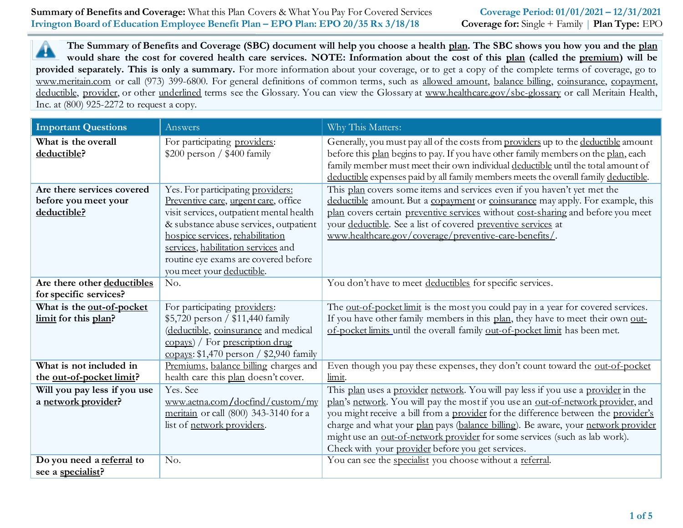**1 of 5**

# **The Summary of Benefits and Coverage (SBC) document will help you choose a health plan. The SBC shows you how you and the plan** ▲ **would share the cost for covered health care services. NOTE: Information about the cost of this plan (called the premium) will be provided separately. This is only a summary.** For more information about your coverage, or to get a copy of the complete terms of coverage, go to www.meritain.com or call (973) 399-6800. For general definitions of common terms, such as allowed amount, balance billing, coinsurance, copayment,

deductible, provider, or other underlined terms see the Glossary. You can view the Glossary at www.healthcare.gov/sbc-glossary or call Meritain Health, Inc. at (800) 925-2272 to request a copy.

| <b>Important Questions</b>                                        | Answers                                                                                                                                                                                                                                                                                                         | Why This Matters:                                                                                                                                                                                                                                                                                                                                                                                                                                                                   |
|-------------------------------------------------------------------|-----------------------------------------------------------------------------------------------------------------------------------------------------------------------------------------------------------------------------------------------------------------------------------------------------------------|-------------------------------------------------------------------------------------------------------------------------------------------------------------------------------------------------------------------------------------------------------------------------------------------------------------------------------------------------------------------------------------------------------------------------------------------------------------------------------------|
| What is the overall<br>deductible?                                | For participating providers:<br>$$200$ person / $$400$ family                                                                                                                                                                                                                                                   | Generally, you must pay all of the costs from providers up to the deductible amount<br>before this plan begins to pay. If you have other family members on the plan, each<br>family member must meet their own individual deductible until the total amount of<br>deductible expenses paid by all family members meets the overall family deductible.                                                                                                                               |
| Are there services covered<br>before you meet your<br>deductible? | Yes. For participating providers:<br>Preventive care, urgent care, office<br>visit services, outpatient mental health<br>& substance abuse services, outpatient<br>hospice services, rehabilitation<br>services, habilitation services and<br>routine eye exams are covered before<br>you meet your deductible. | This plan covers some items and services even if you haven't yet met the<br>deductible amount. But a copayment or coinsurance may apply. For example, this<br>plan covers certain preventive services without cost-sharing and before you meet<br>your deductible. See a list of covered preventive services at<br>www.healthcare.gov/coverage/preventive-care-benefits/.                                                                                                           |
| Are there other deductibles<br>for specific services?             | No.                                                                                                                                                                                                                                                                                                             | You don't have to meet deductibles for specific services.                                                                                                                                                                                                                                                                                                                                                                                                                           |
| What is the out-of-pocket<br>limit for this plan?                 | For participating providers:<br>\$5,720 person / \$11,440 family<br>(deductible, coinsurance and medical<br>$\frac{1}{\text{copy}}$ / For prescription drug<br>copays: $$1,470$ person / $$2,940$ family                                                                                                        | The out-of-pocket limit is the most you could pay in a year for covered services.<br>If you have other family members in this plan, they have to meet their own out-<br>of-pocket limits until the overall family out-of-pocket limit has been met.                                                                                                                                                                                                                                 |
| What is not included in<br>the out-of-pocket limit?               | Premiums, balance billing charges and<br>health care this plan doesn't cover.                                                                                                                                                                                                                                   | Even though you pay these expenses, they don't count toward the out-of-pocket<br>limit.                                                                                                                                                                                                                                                                                                                                                                                             |
| Will you pay less if you use<br>a network provider?               | Yes. See<br>www.aetna.com/docfind/custom/my<br>meritain or call (800) 343-3140 for a<br>list of network providers.                                                                                                                                                                                              | This plan uses a provider network. You will pay less if you use a provider in the<br>plan's network. You will pay the most if you use an out-of-network provider, and<br>you might receive a bill from a provider for the difference between the provider's<br>charge and what your plan pays (balance billing). Be aware, your network provider<br>might use an out-of-network provider for some services (such as lab work).<br>Check with your provider before you get services. |
| Do you need a referral to<br>see a specialist?                    | No.                                                                                                                                                                                                                                                                                                             | You can see the specialist you choose without a referral.                                                                                                                                                                                                                                                                                                                                                                                                                           |

**Summary of Benefits and Coverage:** What this Plan Covers & What You Pay For Covered Services **Coverage Period: 01/01/2021 – 12/31/2021 Irvington Board of Education Employee Benefit Plan – EPO Plan: EPO 20/35 Rx 3/18/18 Coverage for:** Single + Family | **Plan Type:** EPO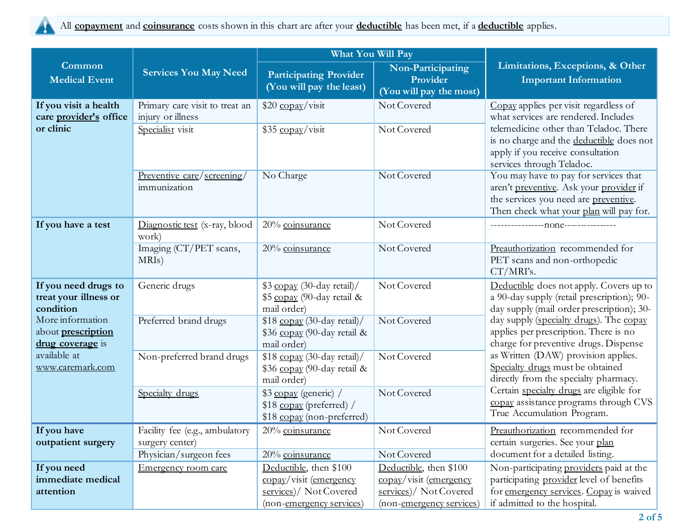

|                                                            |                                                     | What You Will Pay                                                               |                                                          |                                                                                                                                                                      |
|------------------------------------------------------------|-----------------------------------------------------|---------------------------------------------------------------------------------|----------------------------------------------------------|----------------------------------------------------------------------------------------------------------------------------------------------------------------------|
| Common<br>Medical Event                                    | <b>Services You May Need</b>                        | <b>Participating Provider</b><br>(You will pay the least)                       | Non-Participating<br>Provider<br>(You will pay the most) | Limitations, Exceptions, & Other<br><b>Important Information</b>                                                                                                     |
| If you visit a health<br>care provider's office            | Primary care visit to treat an<br>injury or illness | \$20 copay/visit                                                                | Not Covered                                              | Copay applies per visit regardless of<br>what services are rendered. Includes                                                                                        |
| or clinic                                                  | Specialist visit                                    | \$35 copay/visit                                                                | Not Covered                                              | telemedicine other than Teladoc. There<br>is no charge and the deductible does not<br>apply if you receive consultation<br>services through Teladoc.                 |
|                                                            | <u>Preventive care/screening/</u><br>immunization   | No Charge                                                                       | Not Covered                                              | You may have to pay for services that<br>aren't preventive. Ask your provider if<br>the services you need are preventive.<br>Then check what your plan will pay for. |
| If you have a test                                         | Diagnostic test (x-ray, blood<br>work)              | 20% coinsurance                                                                 | Not Covered                                              |                                                                                                                                                                      |
|                                                            | Imaging (CT/PET scans,<br>MRIs)                     | 20% coinsurance                                                                 | Not Covered                                              | Preauthorization recommended for<br>PET scans and non-orthopedic<br>CT/MRI's.                                                                                        |
| If you need drugs to<br>treat your illness or<br>condition | Generic drugs                                       | \$3 copay (30-day retail)/<br>\$5 copay (90-day retail &<br>mail order)         | Not Covered                                              | Deductible does not apply. Covers up to<br>a 90-day supply (retail prescription); 90-<br>day supply (mail order prescription); 30-                                   |
| More information<br>about prescription<br>drug coverage is | Preferred brand drugs                               | \$18 copay (30-day retail)/<br>\$36 copay (90-day retail &<br>mail order)       | Not Covered                                              | day supply (specialty drugs). The copay<br>applies per prescription. There is no<br>charge for preventive drugs. Dispense                                            |
| available at<br>www.caremark.com                           | Non-preferred brand drugs                           | \$18 copay (30-day retail)/<br>\$36 copay (90-day retail &<br>mail order)       | Not Covered                                              | as Written (DAW) provision applies.<br>Specialty drugs must be obtained<br>directly from the specialty pharmacy.                                                     |
|                                                            | Specialty drugs                                     | \$3 copay (generic) /<br>\$18 copay (preferred) /<br>\$18 copay (non-preferred) | Not Covered                                              | Certain specialty drugs are eligible for<br>copay assistance programs through CVS<br>True Accumulation Program.                                                      |
| If you have                                                | Facility fee (e.g., ambulatory                      | 20% coinsurance                                                                 | Not Covered                                              | Preauthorization recommended for                                                                                                                                     |
| outpatient surgery                                         | surgery center)<br>Physician/surgeon fees           | 20% coinsurance                                                                 | Not Covered                                              | certain surgeries. See your plan<br>document for a detailed listing.                                                                                                 |
| If you need                                                | Emergency room care                                 | Deductible, then \$100                                                          | Deductible, then \$100                                   | Non-participating providers paid at the                                                                                                                              |
| immediate medical<br>attention                             |                                                     | copay/visit (emergency<br>services)/ Not Covered                                | copay/visit (emergency<br>services)/ Not Covered         | participating provider level of benefits<br>for emergency services. Copay is waived                                                                                  |
|                                                            |                                                     | (non-emergency services)                                                        | (non-emergency services)                                 | if admitted to the hospital.                                                                                                                                         |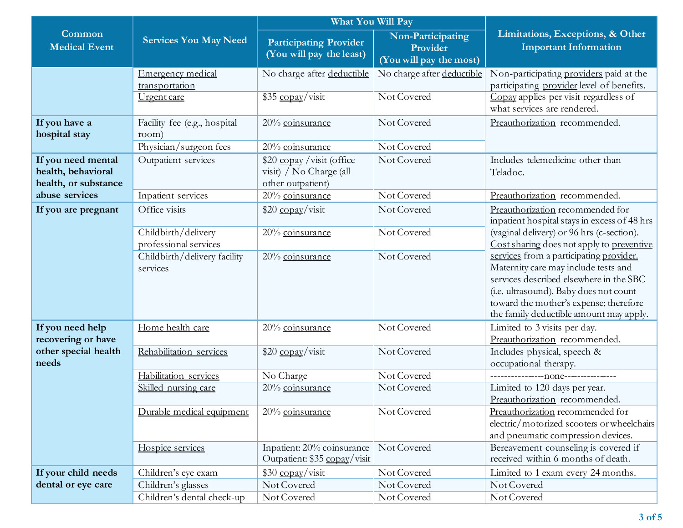|                                                                  |                                          | <b>What You Will Pay</b>                                                   |                                                          |                                                                                                                                                                                                                                                           |
|------------------------------------------------------------------|------------------------------------------|----------------------------------------------------------------------------|----------------------------------------------------------|-----------------------------------------------------------------------------------------------------------------------------------------------------------------------------------------------------------------------------------------------------------|
| <b>Common</b><br><b>Medical Event</b>                            | <b>Services You May Need</b>             | <b>Participating Provider</b><br>(You will pay the least)                  | Non-Participating<br>Provider<br>(You will pay the most) | Limitations, Exceptions, & Other<br><b>Important Information</b>                                                                                                                                                                                          |
|                                                                  | Emergency medical                        | No charge after deductible                                                 | No charge after deductible                               | Non-participating providers paid at the                                                                                                                                                                                                                   |
|                                                                  | transportation                           |                                                                            |                                                          | participating provider level of benefits.                                                                                                                                                                                                                 |
|                                                                  | Urgent care                              | \$35 copay/visit                                                           | Not Covered                                              | Copay applies per visit regardless of<br>what services are rendered.                                                                                                                                                                                      |
| If you have a<br>hospital stay                                   | Facility fee (e.g., hospital<br>room)    | 20% coinsurance                                                            | Not Covered                                              | Preauthorization recommended.                                                                                                                                                                                                                             |
|                                                                  | Physician/surgeon fees                   | 20% coinsurance                                                            | Not Covered                                              |                                                                                                                                                                                                                                                           |
| If you need mental<br>health, behavioral<br>health, or substance | Outpatient services                      | \$20 copay / visit (office<br>visit) / No Charge (all<br>other outpatient) | Not Covered                                              | Includes telemedicine other than<br>Teladoc.                                                                                                                                                                                                              |
| abuse services                                                   | Inpatient services                       | 20% coinsurance                                                            | Not Covered                                              | Preauthorization recommended.                                                                                                                                                                                                                             |
| If you are pregnant                                              | Office visits                            | $$20 \frac{\text{copay}}{\text{visit}}$                                    | Not Covered                                              | Preauthorization recommended for<br>inpatient hospital stays in excess of 48 hrs                                                                                                                                                                          |
|                                                                  | Childbirth/delivery                      | 20% coinsurance                                                            | Not Covered                                              | (vaginal delivery) or 96 hrs (c-section).                                                                                                                                                                                                                 |
|                                                                  | professional services                    |                                                                            |                                                          | Cost sharing does not apply to preventive                                                                                                                                                                                                                 |
|                                                                  | Childbirth/delivery facility<br>services | 20% coinsurance                                                            | Not Covered                                              | services from a participating provider.<br>Maternity care may include tests and<br>services described elsewhere in the SBC<br>(i.e. ultrasound). Baby does not count<br>toward the mother's expense; therefore<br>the family deductible amount may apply. |
| If you need help<br>recovering or have                           | Home health care                         | 20% coinsurance                                                            | Not Covered                                              | Limited to 3 visits per day.<br>Preauthorization recommended.                                                                                                                                                                                             |
| other special health<br>needs                                    | Rehabilitation services                  | \$20 copay/visit                                                           | Not Covered                                              | Includes physical, speech &<br>occupational therapy.                                                                                                                                                                                                      |
|                                                                  | Habilitation services                    | No Charge                                                                  | Not Covered                                              |                                                                                                                                                                                                                                                           |
|                                                                  | Skilled nursing care                     | 20% coinsurance                                                            | Not Covered                                              | Limited to 120 days per year.<br>Preauthorization recommended.                                                                                                                                                                                            |
|                                                                  | Durable medical equipment                | 20% coinsurance                                                            | Not Covered                                              | Preauthorization recommended for<br>electric/motorized scooters or wheelchairs<br>and pneumatic compression devices.                                                                                                                                      |
|                                                                  | Hospice services                         | Inpatient: 20% coinsurance<br>Outpatient: \$35 copay/visit                 | Not Covered                                              | Bereavement counseling is covered if<br>received within 6 months of death.                                                                                                                                                                                |
| If your child needs                                              | Children's eye exam                      | \$30 copay/visit                                                           | Not Covered                                              | Limited to 1 exam every 24 months.                                                                                                                                                                                                                        |
| dental or eye care                                               | Children's glasses                       | Not Covered                                                                | Not Covered                                              | Not Covered                                                                                                                                                                                                                                               |
|                                                                  | Children's dental check-up               | Not Covered                                                                | Not Covered                                              | Not Covered                                                                                                                                                                                                                                               |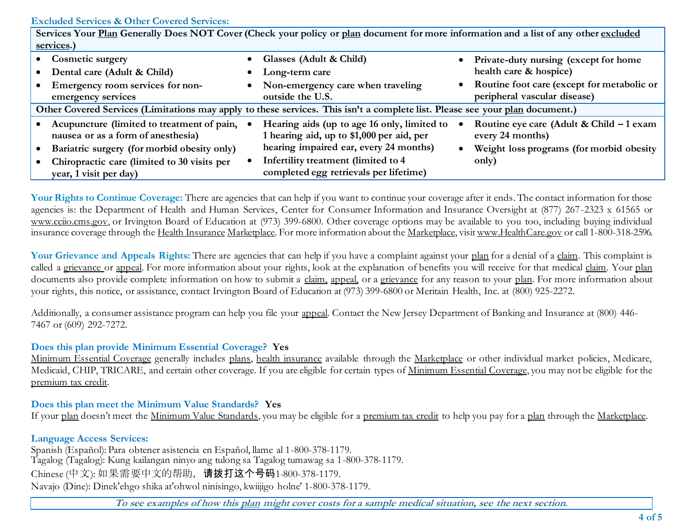### **Excluded Services & Other Covered Services:**

| Services Your Plan Generally Does NOT Cover (Check your policy or plan document for more information and a list of any other excluded |  |                                                                                          |  |                                                              |
|---------------------------------------------------------------------------------------------------------------------------------------|--|------------------------------------------------------------------------------------------|--|--------------------------------------------------------------|
| services.)                                                                                                                            |  |                                                                                          |  |                                                              |
| <b>Cosmetic surgery</b>                                                                                                               |  | Glasses (Adult & Child)                                                                  |  | Private-duty nursing (except for home                        |
| Dental care (Adult & Child)                                                                                                           |  | Long-term care                                                                           |  | health care & hospice)                                       |
| Emergency room services for non-                                                                                                      |  | Non-emergency care when traveling                                                        |  | Routine foot care (except for metabolic or                   |
| emergency services                                                                                                                    |  | outside the U.S.                                                                         |  | peripheral vascular disease)                                 |
| Other Covered Services (Limitations may apply to these services. This isn't a complete list. Please see your plan document.)          |  |                                                                                          |  |                                                              |
| Acupuncture (limited to treatment of pain,<br>nausea or as a form of anesthesia)                                                      |  | Hearing aids (up to age 16 only, limited to<br>1 hearing aid, up to \$1,000 per aid, per |  | Routine eye care (Adult & Child - 1 exam<br>every 24 months) |
| Bariatric surgery (for morbid obesity only)                                                                                           |  | hearing impaired ear, every 24 months)                                                   |  | Weight loss programs (for morbid obesity                     |
| Chiropractic care (limited to 30 visits per<br>year, 1 visit per day)                                                                 |  | Infertility treatment (limited to 4<br>completed egg retrievals per lifetime)            |  | only)                                                        |

Your Rights to Continue Coverage: There are agencies that can help if you want to continue your coverage after it ends. The contact information for those agencies is: the Department of Health and Human Services, Center for Consumer Information and Insurance Oversight at (877) 267-2323 x 61565 or www.cciio.cms.gov, or Irvington Board of Education at (973) 399-6800. Other coverage options may be available to you too, including buying individual insurance coverage through the Health Insurance Marketplace. For more information about the Marketplace, visi[t www.HealthCare.gov](http://www.healthcare.gov/) or call 1-800-318-2596.

Your Grievance and Appeals Rights: There are agencies that can help if you have a complaint against your plan for a denial of a claim. This complaint is called a grievance or appeal. For more information about your rights, look at the explanation of benefits you will receive for that medical claim. Your plan documents also provide complete information on how to submit a claim, appeal, or a grievance for any reason to your plan. For more information about your rights, this notice, or assistance, contact Irvington Board of Education at (973) 399-6800 or Meritain Health, Inc. at (800) 925-2272.

Additionally, a consumer assistance program can help you file your appeal. Contact the New Jersey Department of Banking and Insurance at (800) 446- 7467 or (609) 292-7272.

# **Does this plan provide Minimum Essential Coverage? Yes**

Minimum Essential Coverage generally includes plans, health insurance available through the Marketplace or other individual market policies, Medicare, Medicaid, CHIP, TRICARE, and certain other coverage. If you are eligible for certain types of Minimum Essential Coverage, you may not be eligible for the premium tax credit.

# **Does this plan meet the Minimum Value Standards? Yes**

If your plan doesn't meet the Minimum Value Standards, you may be eligible for a premium tax credit to help you pay for a plan through the Marketplace.

# **Language Access Services:**

Spanish (Español): Para obtener asistencia en Español, llame al 1-800-378-1179. Tagalog (Tagalog): Kung kailangan ninyo ang tulong sa Tagalog tumawag sa 1-800-378-1179. Chinese (中文): 如果需要中文的帮助,请拨打这个号码1-800-378-1179. Navajo (Dine): Dinek'ehgo shika at'ohwol ninisingo, kwiijigo holne' 1-800-378-1179.

**To see examples of how this plan might cover costs for a sample medical situation, see the next section.**